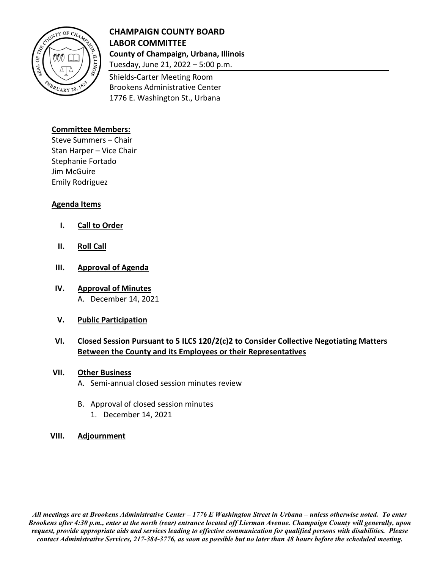

# **CHAMPAIGN COUNTY BOARD LABOR COMMITTEE County of Champaign, Urbana, Illinois**

Tuesday, June 21, 2022 – 5:00 p.m. Shields-Carter Meeting Room

Brookens Administrative Center 1776 E. Washington St., Urbana

### **Committee Members:**

Steve Summers – Chair Stan Harper – Vice Chair Stephanie Fortado Jim McGuire Emily Rodriguez

### **Agenda Items**

- **I. Call to Order**
- **II. Roll Call**
- **III. Approval of Agenda**
- **IV. Approval of Minutes** A. December 14, 2021
- **V. Public Participation**

## **VI. Closed Session Pursuant to 5 ILCS 120/2(c)2 to Consider Collective Negotiating Matters Between the County and its Employees or their Representatives**

#### **VII. Other Business**

- A. Semi-annual closed session minutes review
- B. Approval of closed session minutes
	- 1. December 14, 2021

#### **VIII. Adjournment**

*All meetings are at Brookens Administrative Center – 1776 E Washington Street in Urbana – unless otherwise noted. To enter Brookens after 4:30 p.m., enter at the north (rear) entrance located off Lierman Avenue. Champaign County will generally, upon request, provide appropriate aids and services leading to effective communication for qualified persons with disabilities. Please contact Administrative Services, 217-384-3776, as soon as possible but no later than 48 hours before the scheduled meeting.*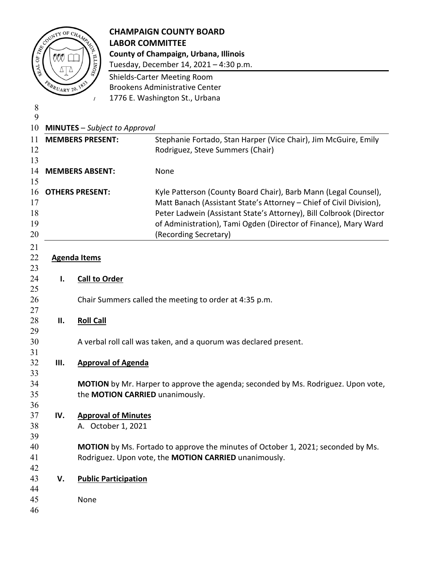

# CHAMPAIGN COUNTY BOARD<br>
EXPORTED LABOR COMMITTEE **LABOR COMMITTEE County of Champaign, Urbana, Illinois**

Tuesday, December 14, 2021 – 4:30 p.m.

 Shields-Carter Meeting Room Brookens Administrative Center 1776 E. Washington St., Urbana

 **MINUTES** – *Subject to Approval* **MEMBERS PRESENT:** Stephanie Fortado, Stan Harper (Vice Chair), Jim McGuire, Emily 12 Rodriguez, Steve Summers (Chair) **MEMBERS ABSENT:** None **OTHERS PRESENT:** Kyle Patterson (County Board Chair), Barb Mann (Legal Counsel), Matt Banach (Assistant State's Attorney – Chief of Civil Division), Peter Ladwein (Assistant State's Attorney), Bill Colbrook (Director of Administration), Tami Ogden (Director of Finance), Mary Ward (Recording Secretary) **Agenda Items I. Call to Order** Chair Summers called the meeting to order at 4:35 p.m. **II. Roll Call** A verbal roll call was taken, and a quorum was declared present. **III. Approval of Agenda MOTION** by Mr. Harper to approve the agenda; seconded by Ms. Rodriguez. Upon vote, the **MOTION CARRIED** unanimously. **IV. Approval of Minutes** A. October 1, 2021 **MOTION** by Ms. Fortado to approve the minutes of October 1, 2021; seconded by Ms. Rodriguez. Upon vote, the **MOTION CARRIED** unanimously. **V. Public Participation** None